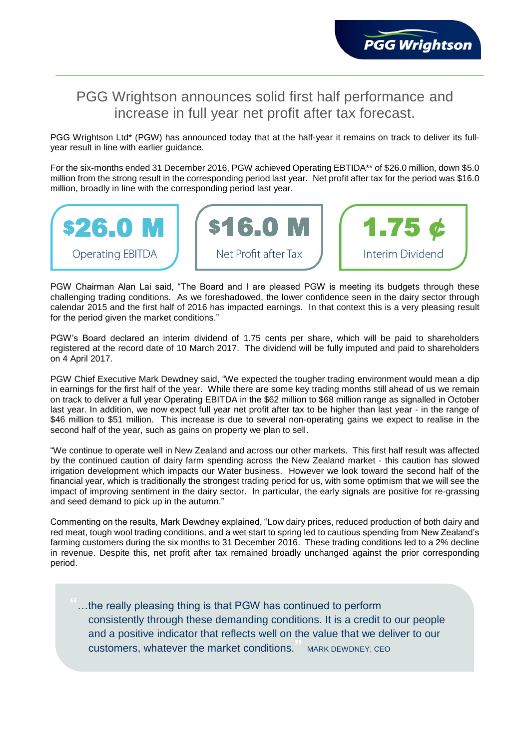## PGG Wrightson announces solid first half performance and increase in full year net profit after tax forecast.

PGG Wrightson Ltd\* (PGW) has announced today that at the half-year it remains on track to deliver its fullyear result in line with earlier guidance.

For the six-months ended 31 December 2016, PGW achieved Operating EBTIDA\*\* of \$26.0 million, down \$5.0 million from the strong result in the corresponding period last year. Net profit after tax for the period was \$16.0 million, broadly in line with the corresponding period last year.



PGW Chairman Alan Lai said, "The Board and I are pleased PGW is meeting its budgets through these challenging trading conditions. As we foreshadowed, the lower confidence seen in the dairy sector through calendar 2015 and the first half of 2016 has impacted earnings. In that context this is a very pleasing result for the period given the market conditions."

PGW's Board declared an interim dividend of 1.75 cents per share, which will be paid to shareholders registered at the record date of 10 March 2017. The dividend will be fully imputed and paid to shareholders on 4 April 2017.

PGW Chief Executive Mark Dewdney said, "We expected the tougher trading environment would mean a dip in earnings for the first half of the year. While there are some key trading months still ahead of us we remain on track to deliver a full year Operating EBITDA in the \$62 million to \$68 million range as signalled in October last year. In addition, we now expect full year net profit after tax to be higher than last year - in the range of \$46 million to \$51 million. This increase is due to several non-operating gains we expect to realise in the second half of the year, such as gains on property we plan to sell.

"We continue to operate well in New Zealand and across our other markets. This first half result was affected by the continued caution of dairy farm spending across the New Zealand market - this caution has slowed irrigation development which impacts our Water business. However we look toward the second half of the financial year, which is traditionally the strongest trading period for us, with some optimism that we will see the impact of improving sentiment in the dairy sector. In particular, the early signals are positive for re-grassing and seed demand to pick up in the autumn."

Commenting on the results, Mark Dewdney explained, "Low dairy prices, reduced production of both dairy and red meat, tough wool trading conditions, and a wet start to spring led to cautious spending from New Zealand's farming customers during the six months to 31 December 2016. These trading conditions led to a 2% decline in revenue. Despite this, net profit after tax remained broadly unchanged against the prior corresponding period.

**"**…the really pleasing thing is that PGW has continued to perform consistently through these demanding conditions. It is a credit to our people and a positive indicator that reflects well on the value that we deliver to our customers, whatever the market conditions.**"** MARK DEWDNEY, CEO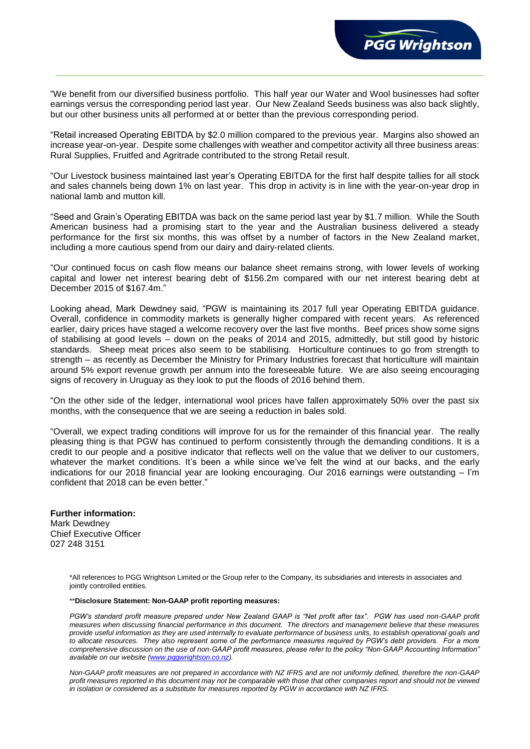

"We benefit from our diversified business portfolio. This half year our Water and Wool businesses had softer earnings versus the corresponding period last year. Our New Zealand Seeds business was also back slightly, but our other business units all performed at or better than the previous corresponding period.

"Retail increased Operating EBITDA by \$2.0 million compared to the previous year. Margins also showed an increase year-on-year. Despite some challenges with weather and competitor activity all three business areas: Rural Supplies, Fruitfed and Agritrade contributed to the strong Retail result.

"Our Livestock business maintained last year's Operating EBITDA for the first half despite tallies for all stock and sales channels being down 1% on last year. This drop in activity is in line with the year-on-year drop in national lamb and mutton kill.

"Seed and Grain's Operating EBITDA was back on the same period last year by \$1.7 million. While the South American business had a promising start to the year and the Australian business delivered a steady performance for the first six months, this was offset by a number of factors in the New Zealand market, including a more cautious spend from our dairy and dairy-related clients.

"Our continued focus on cash flow means our balance sheet remains strong, with lower levels of working capital and lower net interest bearing debt of \$156.2m compared with our net interest bearing debt at December 2015 of \$167.4m."

Looking ahead, Mark Dewdney said, "PGW is maintaining its 2017 full year Operating EBITDA guidance. Overall, confidence in commodity markets is generally higher compared with recent years. As referenced earlier, dairy prices have staged a welcome recovery over the last five months. Beef prices show some signs of stabilising at good levels – down on the peaks of 2014 and 2015, admittedly, but still good by historic standards. Sheep meat prices also seem to be stabilising. Horticulture continues to go from strength to strength – as recently as December the Ministry for Primary Industries forecast that horticulture will maintain around 5% export revenue growth per annum into the foreseeable future. We are also seeing encouraging signs of recovery in Uruguay as they look to put the floods of 2016 behind them.

"On the other side of the ledger, international wool prices have fallen approximately 50% over the past six months, with the consequence that we are seeing a reduction in bales sold.

"Overall, we expect trading conditions will improve for us for the remainder of this financial year. The really pleasing thing is that PGW has continued to perform consistently through the demanding conditions. It is a credit to our people and a positive indicator that reflects well on the value that we deliver to our customers, whatever the market conditions. It's been a while since we've felt the wind at our backs, and the early indications for our 2018 financial year are looking encouraging. Our 2016 earnings were outstanding – I'm confident that 2018 can be even better."

**Further information:** Mark Dewdney Chief Executive Officer 027 248 3151

> \*All references to PGG Wrightson Limited or the Group refer to the Company, its subsidiaries and interests in associates and jointly controlled entities.

## \*\***Disclosure Statement: Non-GAAP profit reporting measures:**

PGW's standard profit measure prepared under New Zealand GAAP is "Net profit after tax". PGW has used non-GAAP profit *measures when discussing financial performance in this document. The directors and management believe that these measures provide useful information as they are used internally to evaluate performance of business units, to establish operational goals and to allocate resources. They also represent some of the performance measures required by PGW's debt providers. For a more comprehensive discussion on the use of non-GAAP profit measures, please refer to the policy "Non-GAAP Accounting Information" available on our website [\(www.pggwrightson.co.nz\)](http://www.pggwrightson.co.nz/).*

*Non-GAAP profit measures are not prepared in accordance with NZ IFRS and are not uniformly defined, therefore the non-GAAP profit measures reported in this document may not be comparable with those that other companies report and should not be viewed in isolation or considered as a substitute for measures reported by PGW in accordance with NZ IFRS.*